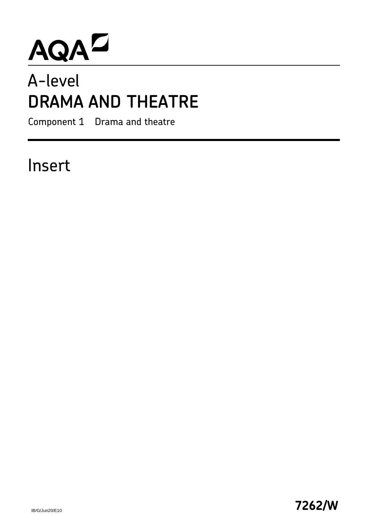

# A-level **DRAMA AND THEATRE**

Component 1 Drama and theatre

## Insert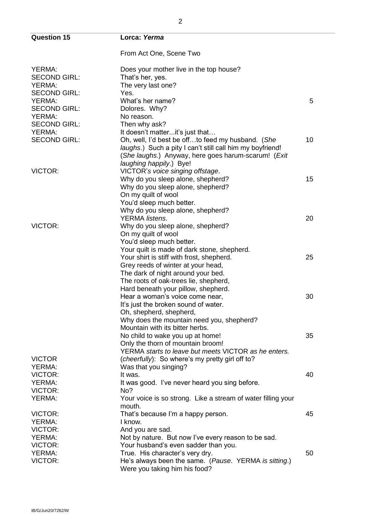| <b>Question 15</b>  | Lorca: Yerma                                                          |    |
|---------------------|-----------------------------------------------------------------------|----|
|                     | From Act One, Scene Two                                               |    |
| YERMA:              | Does your mother live in the top house?                               |    |
| <b>SECOND GIRL:</b> | That's her, yes.                                                      |    |
| YERMA:              | The very last one?                                                    |    |
| <b>SECOND GIRL:</b> | Yes.                                                                  |    |
| YERMA:              | What's her name?                                                      | 5  |
| <b>SECOND GIRL:</b> | Dolores. Why?                                                         |    |
| YERMA:              | No reason.                                                            |    |
| <b>SECOND GIRL:</b> | Then why ask?                                                         |    |
| YERMA:              | It doesn't matterit's just that                                       |    |
| <b>SECOND GIRL:</b> | Oh, well, I'd best be offto feed my husband. (She                     | 10 |
|                     | laughs.) Such a pity I can't still call him my boyfriend!             |    |
|                     | (She laughs.) Anyway, here goes harum-scarum! (Exit                   |    |
|                     | laughing happily.) Bye!                                               |    |
| <b>VICTOR:</b>      | VICTOR's voice singing offstage.                                      |    |
|                     | Why do you sleep alone, shepherd?                                     | 15 |
|                     | Why do you sleep alone, shepherd?                                     |    |
|                     | On my quilt of wool                                                   |    |
|                     | You'd sleep much better.                                              |    |
|                     | Why do you sleep alone, shepherd?                                     |    |
|                     | <b>YERMA</b> listens.                                                 | 20 |
| VICTOR:             | Why do you sleep alone, shepherd?                                     |    |
|                     | On my quilt of wool                                                   |    |
|                     | You'd sleep much better.                                              |    |
|                     | Your quilt is made of dark stone, shepherd.                           |    |
|                     | Your shirt is stiff with frost, shepherd.                             | 25 |
|                     | Grey reeds of winter at your head,                                    |    |
|                     | The dark of night around your bed.                                    |    |
|                     | The roots of oak-trees lie, shepherd,                                 |    |
|                     | Hard beneath your pillow, shepherd.                                   |    |
|                     | Hear a woman's voice come near,                                       | 30 |
|                     | It's just the broken sound of water.                                  |    |
|                     | Oh, shepherd, shepherd,                                               |    |
|                     | Why does the mountain need you, shepherd?                             |    |
|                     | Mountain with its bitter herbs.                                       | 35 |
|                     | No child to wake you up at home!<br>Only the thorn of mountain broom! |    |
|                     | YERMA starts to leave but meets VICTOR as he enters.                  |    |
| <b>VICTOR</b>       | (cheerfully): So where's my pretty girl off to?                       |    |
| YERMA:              | Was that you singing?                                                 |    |
| VICTOR:             | It was.                                                               | 40 |
| YERMA:              | It was good. I've never heard you sing before.                        |    |
| <b>VICTOR:</b>      | No?                                                                   |    |
| YERMA:              | Your voice is so strong. Like a stream of water filling your          |    |
|                     | mouth.                                                                |    |
| <b>VICTOR:</b>      | That's because I'm a happy person.                                    | 45 |
| <b>YERMA:</b>       | I know.                                                               |    |
| <b>VICTOR:</b>      | And you are sad.                                                      |    |
| YERMA:              | Not by nature. But now I've every reason to be sad.                   |    |
| <b>VICTOR:</b>      | Your husband's even sadder than you.                                  |    |
| YERMA:              | True. His character's very dry.                                       | 50 |
| <b>VICTOR:</b>      | He's always been the same. (Pause. YERMA is sitting.)                 |    |
|                     | Were you taking him his food?                                         |    |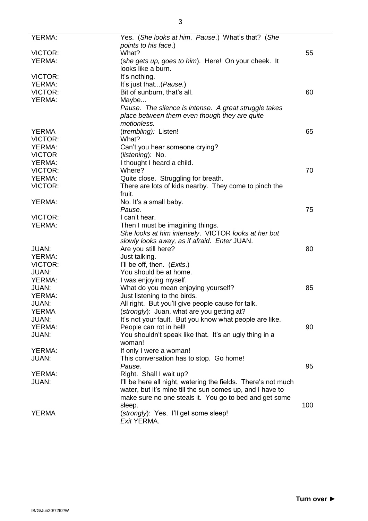| <b>YERMA:</b>  | Yes. (She looks at him. Pause.) What's that? (She<br>points to his face.) |     |
|----------------|---------------------------------------------------------------------------|-----|
| <b>VICTOR:</b> | What?                                                                     | 55  |
| <b>YERMA:</b>  | (she gets up, goes to him). Here! On your cheek. It<br>looks like a burn. |     |
| <b>VICTOR:</b> | It's nothing.                                                             |     |
| <b>YERMA:</b>  | It's just that(Pause.)                                                    |     |
| <b>VICTOR:</b> | Bit of sunburn, that's all.                                               | 60  |
| YERMA:         | Maybe                                                                     |     |
|                | Pause. The silence is intense. A great struggle takes                     |     |
|                | place between them even though they are quite                             |     |
|                | motionless.                                                               |     |
| <b>YERMA</b>   | ( <i>trembling</i> ): Listen!                                             | 65  |
| <b>VICTOR:</b> | What?                                                                     |     |
| <b>YERMA:</b>  | Can't you hear someone crying?                                            |     |
| <b>VICTOR</b>  | (listening): No.                                                          |     |
| YERMA:         | I thought I heard a child.                                                |     |
| <b>VICTOR:</b> | Where?                                                                    | 70  |
| <b>YERMA:</b>  | Quite close. Struggling for breath.                                       |     |
| VICTOR:        | There are lots of kids nearby. They come to pinch the                     |     |
|                | fruit.                                                                    |     |
| <b>YERMA:</b>  | No. It's a small baby.                                                    |     |
|                | Pause.                                                                    | 75  |
| <b>VICTOR:</b> | I can't hear.                                                             |     |
| YERMA:         | Then I must be imagining things.                                          |     |
|                | She looks at him intensely. VICTOR looks at her but                       |     |
|                | slowly looks away, as if afraid. Enter JUAN.                              |     |
| <b>JUAN:</b>   | Are you still here?                                                       | 80  |
| <b>YERMA:</b>  | Just talking.                                                             |     |
| <b>VICTOR:</b> | I'll be off, then. (Exits.)                                               |     |
| <b>JUAN:</b>   | You should be at home.                                                    |     |
| <b>YERMA:</b>  | I was enjoying myself.                                                    |     |
| <b>JUAN:</b>   | What do you mean enjoying yourself?                                       | 85  |
| YERMA:         | Just listening to the birds.                                              |     |
| <b>JUAN:</b>   | All right. But you'll give people cause for talk.                         |     |
| <b>YERMA</b>   | (strongly): Juan, what are you getting at?                                |     |
| <b>JUAN:</b>   | It's not your fault. But you know what people are like.                   |     |
| YERMA:         | People can rot in hell!                                                   | 90  |
| <b>JUAN:</b>   | You shouldn't speak like that. It's an ugly thing in a<br>woman!          |     |
| YERMA:         | If only I were a woman!                                                   |     |
| <b>JUAN:</b>   | This conversation has to stop. Go home!                                   |     |
|                | Pause.                                                                    | 95  |
| YERMA:         | Right. Shall I wait up?                                                   |     |
| <b>JUAN:</b>   | I'll be here all night, watering the fields. There's not much             |     |
|                | water, but it's mine till the sun comes up, and I have to                 |     |
|                | make sure no one steals it. You go to bed and get some                    |     |
|                | sleep.                                                                    | 100 |
| <b>YERMA</b>   | (strongly): Yes. I'll get some sleep!                                     |     |
|                | Exit YERMA.                                                               |     |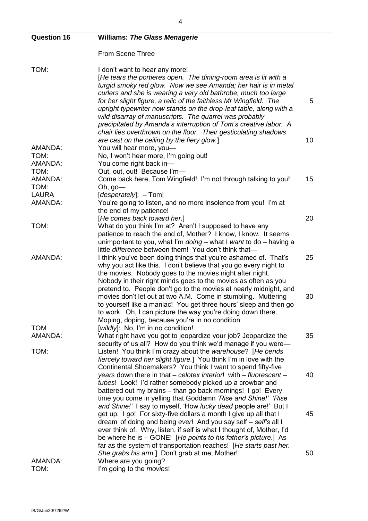| <b>Question 16</b> | <b>Williams: The Glass Menagerie</b>                                                                                                                                                                                                                                                                        |    |
|--------------------|-------------------------------------------------------------------------------------------------------------------------------------------------------------------------------------------------------------------------------------------------------------------------------------------------------------|----|
|                    | From Scene Three                                                                                                                                                                                                                                                                                            |    |
| TOM:               | I don't want to hear any more!<br>[He tears the portieres open. The dining-room area is lit with a<br>turgid smoky red glow. Now we see Amanda; her hair is in metal<br>curlers and she is wearing a very old bathrobe, much too large<br>for her slight figure, a relic of the faithless Mr Wingfield. The | 5  |
|                    | upright typewriter now stands on the drop-leaf table, along with a<br>wild disarray of manuscripts. The quarrel was probably<br>precipitated by Amanda's interruption of Tom's creative labor. A<br>chair lies overthrown on the floor. Their gesticulating shadows                                         |    |
|                    | are cast on the ceiling by the fiery glow.]                                                                                                                                                                                                                                                                 | 10 |
| AMANDA:<br>TOM:    | You will hear more, you-<br>No, I won't hear more, I'm going out!                                                                                                                                                                                                                                           |    |
| AMANDA:            | You come right back in-                                                                                                                                                                                                                                                                                     |    |
| TOM:               | Out, out, out! Because I'm-                                                                                                                                                                                                                                                                                 |    |
| AMANDA:            | Come back here, Tom Wingfield! I'm not through talking to you!                                                                                                                                                                                                                                              | 15 |
| TOM:               | Oh, $go-$                                                                                                                                                                                                                                                                                                   |    |
| <b>LAURA</b>       | $[desperately]: - Tom!$                                                                                                                                                                                                                                                                                     |    |
| AMANDA:            | You're going to listen, and no more insolence from you! I'm at<br>the end of my patience!                                                                                                                                                                                                                   |    |
|                    | [He comes back toward her.]                                                                                                                                                                                                                                                                                 | 20 |
| TOM:               | What do you think I'm at? Aren't I supposed to have any                                                                                                                                                                                                                                                     |    |
|                    | patience to reach the end of, Mother? I know, I know. It seems                                                                                                                                                                                                                                              |    |
|                    | unimportant to you, what I'm <i>doing</i> – what I want to do – having a                                                                                                                                                                                                                                    |    |
|                    | little <i>difference</i> between them! You don't think that—                                                                                                                                                                                                                                                |    |
| AMANDA:            | I think you've been doing things that you're ashamed of. That's                                                                                                                                                                                                                                             | 25 |
|                    | why you act like this. I don't believe that you go every night to<br>the movies. Nobody goes to the movies night after night.                                                                                                                                                                               |    |
|                    | Nobody in their right minds goes to the movies as often as you                                                                                                                                                                                                                                              |    |
|                    | pretend to. People don't go to the movies at nearly midnight, and                                                                                                                                                                                                                                           |    |
|                    | movies don't let out at two A.M. Come in stumbling. Muttering                                                                                                                                                                                                                                               | 30 |
|                    | to yourself like a maniac! You get three hours' sleep and then go                                                                                                                                                                                                                                           |    |
|                    | to work. Oh, I can picture the way you're doing down there.                                                                                                                                                                                                                                                 |    |
|                    | Moping, doping, because you're in no condition.                                                                                                                                                                                                                                                             |    |
| <b>TOM</b>         | [wildly]: No, I'm in no condition!                                                                                                                                                                                                                                                                          |    |
| AMANDA:            | What right have you got to jeopardize your job? Jeopardize the<br>security of us all? How do you think we'd manage if you were-                                                                                                                                                                             | 35 |
| TOM:               | Listen! You think I'm crazy about the warehouse? [He bends                                                                                                                                                                                                                                                  |    |
|                    | fiercely toward her slight figure.] You think I'm in love with the                                                                                                                                                                                                                                          |    |
|                    | Continental Shoemakers? You think I want to spend fifty-five                                                                                                                                                                                                                                                |    |
|                    | years down there in that - celotex interior! with - fluorescent -                                                                                                                                                                                                                                           | 40 |
|                    | tubes! Look! I'd rather somebody picked up a crowbar and                                                                                                                                                                                                                                                    |    |
|                    | battered out my brains – than go back mornings! I go! Every                                                                                                                                                                                                                                                 |    |
|                    | time you come in yelling that Goddamn 'Rise and Shine!' 'Rise<br>and Shine!' I say to myself, 'How lucky dead people are!' But I                                                                                                                                                                            |    |
|                    | get up. I go! For sixty-five dollars a month I give up all that I                                                                                                                                                                                                                                           | 45 |
|                    | dream of doing and being ever! And you say self - self's all I                                                                                                                                                                                                                                              |    |
|                    | ever think of. Why, listen, if self is what I thought of, Mother, I'd                                                                                                                                                                                                                                       |    |
|                    | be where he is - GONE! [He points to his father's picture.] As                                                                                                                                                                                                                                              |    |
|                    | far as the system of transportation reaches! [He starts past her.                                                                                                                                                                                                                                           |    |
|                    | She grabs his arm.] Don't grab at me, Mother!                                                                                                                                                                                                                                                               | 50 |
| AMANDA:            | Where are you going?                                                                                                                                                                                                                                                                                        |    |
| TOM:               | I'm going to the <i>movies!</i>                                                                                                                                                                                                                                                                             |    |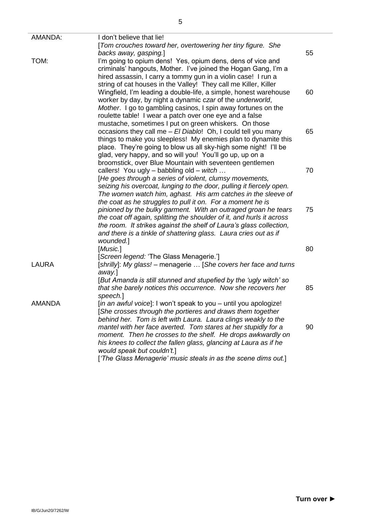| AMANDA:       | I don't believe that lie!<br>[Tom crouches toward her, overtowering her tiny figure. She<br>backs away, gasping.]                                                                                                                                                                                                          | 55 |
|---------------|----------------------------------------------------------------------------------------------------------------------------------------------------------------------------------------------------------------------------------------------------------------------------------------------------------------------------|----|
| TOM:          | I'm going to opium dens! Yes, opium dens, dens of vice and<br>criminals' hangouts, Mother. I've joined the Hogan Gang, I'm a<br>hired assassin, I carry a tommy gun in a violin case! I run a<br>string of cat houses in the Valley! They call me Killer, Killer                                                           |    |
|               | Wingfield, I'm leading a double-life, a simple, honest warehouse<br>worker by day, by night a dynamic czar of the underworld,<br>Mother. I go to gambling casinos, I spin away fortunes on the<br>roulette table! I wear a patch over one eye and a false                                                                  | 60 |
|               | mustache, sometimes I put on green whiskers. On those<br>occasions they call me $-$ El Diablo! Oh, I could tell you many<br>things to make you sleepless! My enemies plan to dynamite this<br>place. They're going to blow us all sky-high some night! I'll be<br>glad, very happy, and so will you! You'll go up, up on a | 65 |
|               | broomstick, over Blue Mountain with seventeen gentlemen<br>callers! You ugly - babbling old - witch                                                                                                                                                                                                                        | 70 |
|               | [He goes through a series of violent, clumsy movements,<br>seizing his overcoat, lunging to the door, pulling it fiercely open.<br>The women watch him, aghast. His arm catches in the sleeve of<br>the coat as he struggles to pull it on. For a moment he is                                                             |    |
|               | pinioned by the bulky garment. With an outraged groan he tears<br>the coat off again, splitting the shoulder of it, and hurls it across<br>the room. It strikes against the shelf of Laura's glass collection,<br>and there is a tinkle of shattering glass. Laura cries out as if<br>wounded.]                            | 75 |
|               | [Music.]                                                                                                                                                                                                                                                                                                                   | 80 |
| <b>LAURA</b>  | [Screen legend: 'The Glass Menagerie.']<br>[shrilly]: My glass! – menagerie  [She covers her face and turns<br>away.]                                                                                                                                                                                                      |    |
|               | [But Amanda is still stunned and stupefied by the 'ugly witch' so<br>that she barely notices this occurrence. Now she recovers her<br>speech.]                                                                                                                                                                             | 85 |
| <b>AMANDA</b> | [in an awful voice]: I won't speak to you - until you apologize!<br>[She crosses through the portieres and draws them together                                                                                                                                                                                             |    |
|               | behind her. Tom is left with Laura. Laura clings weakly to the<br>mantel with her face averted. Tom stares at her stupidly for a<br>moment. Then he crosses to the shelf. He drops awkwardly on<br>his knees to collect the fallen glass, glancing at Laura as if he<br>would speak but couldn't.]                         | 90 |
|               | ['The Glass Menagerie' music steals in as the scene dims out.]                                                                                                                                                                                                                                                             |    |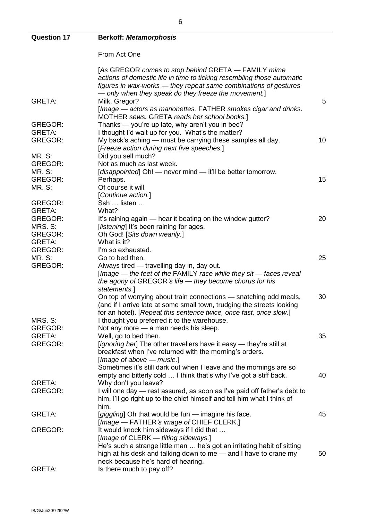| <b>Question 17</b>                                                      | <b>Berkoff: Metamorphosis</b>                                                                                                                                                                                                                                                                                           |    |
|-------------------------------------------------------------------------|-------------------------------------------------------------------------------------------------------------------------------------------------------------------------------------------------------------------------------------------------------------------------------------------------------------------------|----|
|                                                                         | From Act One                                                                                                                                                                                                                                                                                                            |    |
|                                                                         | [As GREGOR comes to stop behind GRETA — FAMILY mime<br>actions of domestic life in time to ticking resembling those automatic<br>figures in wax-works - they repeat same combinations of gestures<br>- only when they speak do they freeze the movement.]                                                               |    |
| <b>GRETA:</b>                                                           | Milk, Gregor?<br>[Image – actors as marionettes. FATHER smokes cigar and drinks.                                                                                                                                                                                                                                        | 5  |
| <b>GREGOR:</b><br><b>GRETA:</b><br><b>GREGOR:</b>                       | MOTHER sews. GRETA reads her school books.]<br>Thanks — you're up late, why aren't you in bed?<br>I thought I'd wait up for you. What's the matter?<br>My back's aching — must be carrying these samples all day.                                                                                                       | 10 |
| <b>MR. S:</b><br><b>GREGOR:</b>                                         | [Freeze action during next five speeches.]<br>Did you sell much?<br>Not as much as last week.                                                                                                                                                                                                                           |    |
| <b>MR. S:</b><br><b>GREGOR:</b><br><b>MR. S:</b>                        | [disappointed] Oh! — never mind — it'll be better tomorrow.<br>Perhaps.<br>Of course it will.                                                                                                                                                                                                                           | 15 |
| <b>GREGOR:</b><br><b>GRETA:</b>                                         | [Continue action.]<br>Ssh  listen<br>What?                                                                                                                                                                                                                                                                              |    |
| <b>GREGOR:</b><br>MRS. S:<br>GREGOR:<br><b>GRETA:</b><br><b>GREGOR:</b> | It's raining again — hear it beating on the window gutter?<br>[listening] It's been raining for ages.<br>Oh God! [Sits down wearily.]<br>What is it?<br>I'm so exhausted.                                                                                                                                               | 20 |
| <b>MR. S:</b><br><b>GREGOR:</b>                                         | Go to bed then.<br>Always tired - travelling day in, day out.<br>[Image — the feet of the FAMILY race while they sit — faces reveal<br>the agony of GREGOR's life - they become chorus for his<br>statements.]                                                                                                          | 25 |
| MRS. S:                                                                 | On top of worrying about train connections - snatching odd meals,<br>(and if I arrive late at some small town, trudging the streets looking<br>for an hotel). [Repeat this sentence twice, once fast, once slow.]<br>I thought you preferred it to the warehouse.                                                       | 30 |
| GREGOR:<br><b>GRETA:</b><br><b>GREGOR:</b>                              | Not any more - a man needs his sleep.<br>Well, go to bed then.<br>[ignoring her] The other travellers have it easy — they're still at<br>breakfast when I've returned with the morning's orders.<br>[Image of above - music.]                                                                                           | 35 |
| GRETA:<br>GREGOR:                                                       | Sometimes it's still dark out when I leave and the mornings are so<br>empty and bitterly cold  I think that's why I've got a stiff back.<br>Why don't you leave?<br>I will one day — rest assured, as soon as I've paid off father's debt to<br>him, I'll go right up to the chief himself and tell him what I think of | 40 |
| <b>GRETA:</b>                                                           | him.<br>[giggling] Oh that would be fun - imagine his face.<br>[Image — FATHER's image of CHIEF CLERK.]                                                                                                                                                                                                                 | 45 |
| GREGOR:                                                                 | It would knock him sideways if I did that<br>[Image of CLERK - tilting sideways.]<br>He's such a strange little man  he's got an irritating habit of sitting<br>high at his desk and talking down to me - and I have to crane my                                                                                        | 50 |
| <b>GRETA:</b>                                                           | neck because he's hard of hearing.<br>Is there much to pay off?                                                                                                                                                                                                                                                         |    |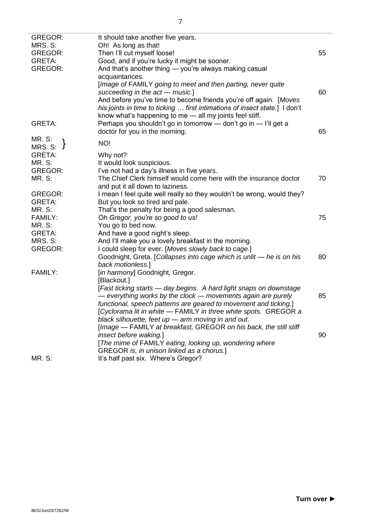| <b>GREGOR:</b><br>MRS. S:<br><b>GREGOR:</b><br><b>GRETA:</b><br><b>GREGOR:</b> | It should take another five years.<br>Oh! As long as that!<br>Then I'll cut myself loose!<br>Good, and if you're lucky it might be sooner.<br>And that's another thing — you're always making casual<br>acquaintances.                                                                                                                                                            | 55 |
|--------------------------------------------------------------------------------|-----------------------------------------------------------------------------------------------------------------------------------------------------------------------------------------------------------------------------------------------------------------------------------------------------------------------------------------------------------------------------------|----|
| <b>GRETA:</b>                                                                  | [Image of FAMILY going to meet and then parting, never quite<br>succeeding in the act - music.]<br>And before you've time to become friends you're off again. [Moves]<br>his joints in time to ticking  first intimations of insect state.] I don't<br>know what's happening to me - all my joints feel stiff.<br>Perhaps you shouldn't go in tomorrow — don't go in — I'll get a | 60 |
| <b>MR. S:</b>                                                                  | doctor for you in the morning.                                                                                                                                                                                                                                                                                                                                                    | 65 |
| $\}$<br>MRS. S:                                                                | NO!                                                                                                                                                                                                                                                                                                                                                                               |    |
| <b>GRETA:</b><br><b>MR. S:</b><br><b>GREGOR:</b><br><b>MR. S:</b>              | Why not?<br>It would look suspicious.<br>I've not had a day's illness in five years.<br>The Chief Clerk himself would come here with the insurance doctor                                                                                                                                                                                                                         | 70 |
| <b>GREGOR:</b><br><b>GRETA:</b><br><b>MR. S:</b>                               | and put it all down to laziness.<br>I mean I feel quite well really so they wouldn't be wrong, would they?<br>But you look so tired and pale.<br>That's the penalty for being a good salesman.                                                                                                                                                                                    |    |
| <b>FAMILY:</b><br><b>MR. S:</b><br><b>GRETA:</b><br>MRS. S:                    | Oh Gregor, you're so good to us!<br>You go to bed now.<br>And have a good night's sleep.<br>And I'll make you a lovely breakfast in the morning.                                                                                                                                                                                                                                  | 75 |
| GREGOR:                                                                        | I could sleep for ever. [Moves slowly back to cage.]<br>Goodnight, Greta. [Collapses into cage which is unlit - he is on his<br>back motionless.]                                                                                                                                                                                                                                 | 80 |
| <b>FAMILY:</b>                                                                 | [in harmony] Goodnight, Gregor.<br>[Blackout.]<br>[Fast ticking starts – day begins. A hard light snaps on downstage                                                                                                                                                                                                                                                              |    |
|                                                                                | - everything works by the clock - movements again are purely<br>functional, speech patterns are geared to movement and ticking.]<br>[Cyclorama lit in white - FAMILY in three white spots. GREGOR a<br>black silhouette, feet up - arm moving in and out.                                                                                                                         | 85 |
|                                                                                | [Image — FAMILY at breakfast, GREGOR on his back, the still stiff<br>insect before waking.]<br>[The mime of FAMILY eating, looking up, wondering where<br>GREGOR is, in unison linked as a chorus.]                                                                                                                                                                               | 90 |
| <b>MR. S:</b>                                                                  | It's half past six. Where's Gregor?                                                                                                                                                                                                                                                                                                                                               |    |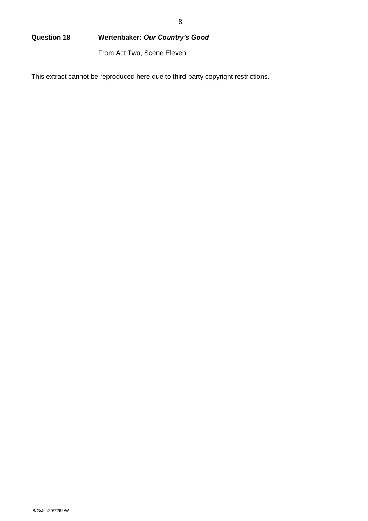#### **Question 18 Wertenbaker:** *Our Country's Good*

From Act Two, Scene Eleven

This extract cannot be reproduced here due to third-party copyright restrictions.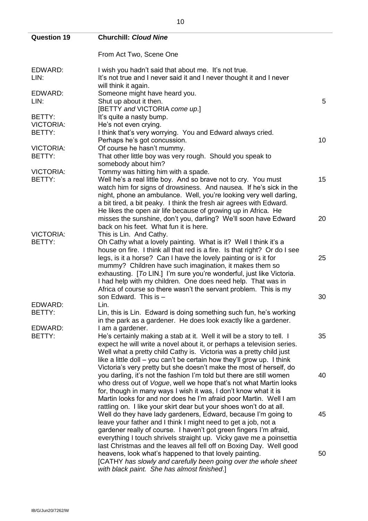| <b>Question 19</b>                   | <b>Churchill: Cloud Nine</b>                                                                                                                                                                                                                                                                                                                                                                                                                                                                                        |    |
|--------------------------------------|---------------------------------------------------------------------------------------------------------------------------------------------------------------------------------------------------------------------------------------------------------------------------------------------------------------------------------------------------------------------------------------------------------------------------------------------------------------------------------------------------------------------|----|
|                                      | From Act Two, Scene One                                                                                                                                                                                                                                                                                                                                                                                                                                                                                             |    |
| EDWARD:<br>LIN:                      | I wish you hadn't said that about me. It's not true.<br>It's not true and I never said it and I never thought it and I never<br>will think it again.                                                                                                                                                                                                                                                                                                                                                                |    |
| EDWARD:<br>LIN:                      | Someone might have heard you.<br>Shut up about it then.<br>[BETTY and VICTORIA come up.]                                                                                                                                                                                                                                                                                                                                                                                                                            | 5  |
| BETTY:<br><b>VICTORIA:</b><br>BETTY: | It's quite a nasty bump.<br>He's not even crying.<br>I think that's very worrying. You and Edward always cried.                                                                                                                                                                                                                                                                                                                                                                                                     |    |
| <b>VICTORIA:</b><br>BETTY:           | Perhaps he's got concussion.<br>Of course he hasn't mummy.<br>That other little boy was very rough. Should you speak to<br>somebody about him?                                                                                                                                                                                                                                                                                                                                                                      | 10 |
| <b>VICTORIA:</b><br>BETTY:           | Tommy was hitting him with a spade.<br>Well he's a real little boy. And so brave not to cry. You must<br>watch him for signs of drowsiness. And nausea. If he's sick in the<br>night, phone an ambulance. Well, you're looking very well darling,                                                                                                                                                                                                                                                                   | 15 |
|                                      | a bit tired, a bit peaky. I think the fresh air agrees with Edward.<br>He likes the open air life because of growing up in Africa. He<br>misses the sunshine, don't you, darling? We'll soon have Edward<br>back on his feet. What fun it is here.                                                                                                                                                                                                                                                                  | 20 |
| <b>VICTORIA:</b><br>BETTY:           | This is Lin. And Cathy.<br>Oh Cathy what a lovely painting. What is it? Well I think it's a<br>house on fire. I think all that red is a fire. Is that right? Or do I see<br>legs, is it a horse? Can I have the lovely painting or is it for<br>mummy? Children have such imagination, it makes them so<br>exhausting. [To LIN.] I'm sure you're wonderful, just like Victoria.<br>I had help with my children. One does need help. That was in<br>Africa of course so there wasn't the servant problem. This is my | 25 |
| EDWARD:<br><b>BETTY:</b>             | son Edward. This is -<br>Lin.<br>Lin, this is Lin. Edward is doing something such fun, he's working<br>in the park as a gardener. He does look exactly like a gardener.                                                                                                                                                                                                                                                                                                                                             | 30 |
| EDWARD:<br>BETTY:                    | I am a gardener.<br>He's certainly making a stab at it. Well it will be a story to tell. I<br>expect he will write a novel about it, or perhaps a television series.<br>Well what a pretty child Cathy is. Victoria was a pretty child just<br>like a little doll – you can't be certain how they'll grow up. I think                                                                                                                                                                                               | 35 |
|                                      | Victoria's very pretty but she doesn't make the most of herself, do<br>you darling, it's not the fashion I'm told but there are still women<br>who dress out of Vogue, well we hope that's not what Martin looks<br>for, though in many ways I wish it was, I don't know what it is<br>Martin looks for and nor does he I'm afraid poor Martin. Well I am                                                                                                                                                           | 40 |
|                                      | rattling on. I like your skirt dear but your shoes won't do at all.<br>Well do they have lady gardeners, Edward, because I'm going to<br>leave your father and I think I might need to get a job, not a<br>gardener really of course. I haven't got green fingers I'm afraid,<br>everything I touch shrivels straight up. Vicky gave me a poinsettia<br>last Christmas and the leaves all fell off on Boxing Day. Well good                                                                                         | 45 |
|                                      | heavens, look what's happened to that lovely painting.<br>[CATHY has slowly and carefully been going over the whole sheet<br>with black paint. She has almost finished.]                                                                                                                                                                                                                                                                                                                                            | 50 |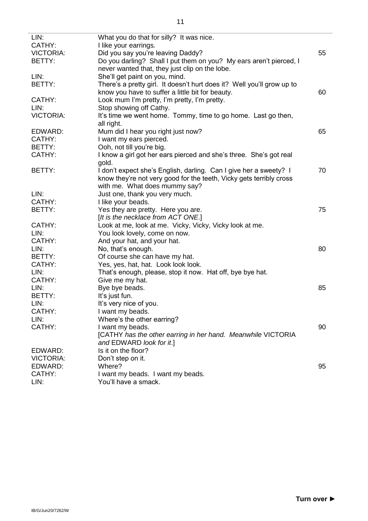| LIN:             | What you do that for silly? It was nice.                               |    |
|------------------|------------------------------------------------------------------------|----|
| CATHY:           | I like your earrings.                                                  |    |
| <b>VICTORIA:</b> | Did you say you're leaving Daddy?                                      | 55 |
| BETTY:           | Do you darling? Shall I put them on you? My ears aren't pierced, I     |    |
|                  | never wanted that, they just clip on the lobe.                         |    |
| LIN:             | She'll get paint on you, mind.                                         |    |
| BETTY:           | There's a pretty girl. It doesn't hurt does it? Well you'll grow up to |    |
|                  | know you have to suffer a little bit for beauty.                       | 60 |
| CATHY:           | Look mum I'm pretty, I'm pretty, I'm pretty.                           |    |
| LIN:             | Stop showing off Cathy.                                                |    |
| <b>VICTORIA:</b> | It's time we went home. Tommy, time to go home. Last go then,          |    |
|                  | all right.                                                             |    |
| EDWARD:          | Mum did I hear you right just now?                                     | 65 |
| CATHY:           | I want my ears pierced.                                                |    |
| BETTY:           | Ooh, not till you're big.                                              |    |
| CATHY:           | I know a girl got her ears pierced and she's three. She's got real     |    |
|                  | gold.                                                                  |    |
| BETTY:           | I don't expect she's English, darling. Can I give her a sweety? I      | 70 |
|                  | know they're not very good for the teeth, Vicky gets terribly cross    |    |
|                  | with me. What does mummy say?                                          |    |
| LIN:             | Just one, thank you very much.                                         |    |
| CATHY:           | I like your beads.                                                     |    |
| BETTY:           | Yes they are pretty. Here you are.                                     | 75 |
|                  | [It is the necklace from ACT ONE.]                                     |    |
| CATHY:           | Look at me, look at me. Vicky, Vicky, Vicky look at me.                |    |
| LIN:             | You look lovely, come on now.                                          |    |
| CATHY:           | And your hat, and your hat.                                            |    |
| LIN:             | No, that's enough.                                                     | 80 |
| BETTY:           | Of course she can have my hat.                                         |    |
| CATHY:           | Yes, yes, hat, hat. Look look look.                                    |    |
| LIN:             | That's enough, please, stop it now. Hat off, bye bye hat.              |    |
| CATHY:           | Give me my hat.                                                        |    |
| LIN:             | Bye bye beads.                                                         | 85 |
| BETTY:           | It's just fun.                                                         |    |
| LIN:             | It's very nice of you.                                                 |    |
| CATHY:           | I want my beads.                                                       |    |
| LIN:             | Where's the other earring?                                             |    |
| CATHY:           | I want my beads.                                                       | 90 |
|                  | [CATHY has the other earring in her hand. Meanwhile VICTORIA           |    |
|                  | and EDWARD look for it.]                                               |    |
| EDWARD:          | Is it on the floor?                                                    |    |
| <b>VICTORIA:</b> | Don't step on it.                                                      |    |
| EDWARD:          | Where?                                                                 | 95 |
|                  |                                                                        |    |
| CATHY:           | I want my beads. I want my beads.                                      |    |
| LIN:             | You'll have a smack.                                                   |    |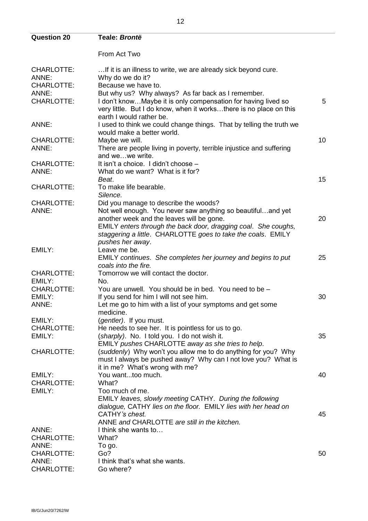| <b>Question 20</b> | Teale: Brontë                                                                                                                       |    |
|--------------------|-------------------------------------------------------------------------------------------------------------------------------------|----|
|                    | From Act Two                                                                                                                        |    |
| <b>CHARLOTTE:</b>  | If it is an illness to write, we are already sick beyond cure.                                                                      |    |
| ANNE:              | Why do we do it?                                                                                                                    |    |
| <b>CHARLOTTE:</b>  | Because we have to.                                                                                                                 |    |
| ANNE:              | But why us? Why always? As far back as I remember.                                                                                  |    |
| <b>CHARLOTTE:</b>  | I don't knowMaybe it is only compensation for having lived so<br>very little. But I do know, when it worksthere is no place on this | 5  |
|                    | earth I would rather be.                                                                                                            |    |
| ANNE:              | I used to think we could change things. That by telling the truth we                                                                |    |
|                    | would make a better world.                                                                                                          |    |
| <b>CHARLOTTE:</b>  | Maybe we will.                                                                                                                      | 10 |
| ANNE:              | There are people living in poverty, terrible injustice and suffering<br>and wewe write.                                             |    |
| <b>CHARLOTTE:</b>  | It isn't a choice. I didn't choose -                                                                                                |    |
| ANNE:              | What do we want? What is it for?                                                                                                    |    |
|                    | Beat.                                                                                                                               | 15 |
| <b>CHARLOTTE:</b>  | To make life bearable.<br>Silence.                                                                                                  |    |
| <b>CHARLOTTE:</b>  | Did you manage to describe the woods?                                                                                               |    |
| ANNE:              | Not well enough. You never saw anything so beautifuland yet                                                                         |    |
|                    | another week and the leaves will be gone.                                                                                           | 20 |
|                    | EMILY enters through the back door, dragging coal. She coughs,                                                                      |    |
|                    | staggering a little. CHARLOTTE goes to take the coals. EMILY                                                                        |    |
|                    | pushes her away.                                                                                                                    |    |
| EMILY:             | Leave me be.                                                                                                                        |    |
|                    | EMILY continues. She completes her journey and begins to put                                                                        | 25 |
|                    | coals into the fire.                                                                                                                |    |
| <b>CHARLOTTE:</b>  | Tomorrow we will contact the doctor.                                                                                                |    |
| EMILY:             | No.                                                                                                                                 |    |
| <b>CHARLOTTE:</b>  | You are unwell. You should be in bed. You need to be -                                                                              |    |
| EMILY:             | If you send for him I will not see him.                                                                                             | 30 |
| ANNE:              | Let me go to him with a list of your symptoms and get some                                                                          |    |
|                    | medicine.                                                                                                                           |    |
| EMILY:             | ( <i>gentler</i> ). If you must.                                                                                                    |    |
| CHARLOTTE:         | He needs to see her. It is pointless for us to go.                                                                                  |    |
| EMILY:             | (sharply). No. I told you. I do not wish it.                                                                                        | 35 |
|                    | EMILY pushes CHARLOTTE away as she tries to help.                                                                                   |    |
| CHARLOTTE:         | (suddenly) Why won't you allow me to do anything for you? Why                                                                       |    |
|                    | must I always be pushed away? Why can I not love you? What is                                                                       |    |
|                    | it in me? What's wrong with me?                                                                                                     |    |
| EMILY:             | You wanttoo much.                                                                                                                   | 40 |
| <b>CHARLOTTE:</b>  | What?                                                                                                                               |    |
| EMILY:             | Too much of me.                                                                                                                     |    |
|                    | EMILY leaves, slowly meeting CATHY. During the following                                                                            |    |
|                    | dialogue, CATHY lies on the floor. EMILY lies with her head on<br>CATHY's chest.                                                    | 45 |
|                    | ANNE and CHARLOTTE are still in the kitchen.                                                                                        |    |
| ANNE:              | I think she wants to                                                                                                                |    |
| <b>CHARLOTTE:</b>  | What?                                                                                                                               |    |
| ANNE:              | To go.                                                                                                                              |    |
| <b>CHARLOTTE:</b>  | Go?                                                                                                                                 | 50 |
| ANNE:              | I think that's what she wants.                                                                                                      |    |
| <b>CHARLOTTE:</b>  | Go where?                                                                                                                           |    |
|                    |                                                                                                                                     |    |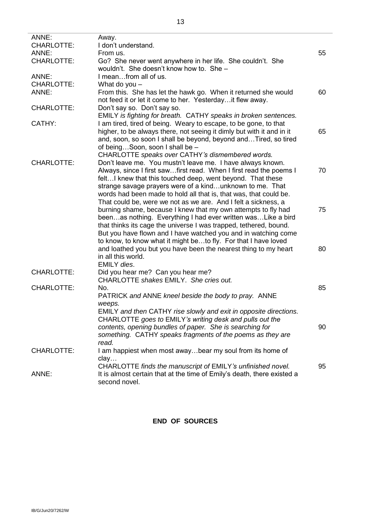13

| ANNE:             | Away.                                                                   |    |
|-------------------|-------------------------------------------------------------------------|----|
| <b>CHARLOTTE:</b> | I don't understand.                                                     |    |
| ANNE:             | From us.                                                                | 55 |
| <b>CHARLOTTE:</b> | Go? She never went anywhere in her life. She couldn't. She              |    |
|                   | wouldn't. She doesn't know how to. She -                                |    |
| ANNE:             | I meanfrom all of us.                                                   |    |
| <b>CHARLOTTE:</b> | What do you $-$                                                         |    |
| ANNE:             | From this. She has let the hawk go. When it returned she would          | 60 |
|                   | not feed it or let it come to her. Yesterday it flew away.              |    |
| <b>CHARLOTTE:</b> | Don't say so. Don't say so.                                             |    |
|                   | EMILY is fighting for breath. CATHY speaks in broken sentences.         |    |
| CATHY:            | I am tired, tired of being. Weary to escape, to be gone, to that        |    |
|                   | higher, to be always there, not seeing it dimly but with it and in it   | 65 |
|                   | and, soon, so soon I shall be beyond, beyond andTired, so tired         |    |
|                   | of beingSoon, soon I shall be -                                         |    |
|                   | CHARLOTTE speaks over CATHY's dismembered words.                        |    |
| <b>CHARLOTTE:</b> | Don't leave me. You mustn't leave me. I have always known.              |    |
|                   | Always, since I first sawfirst read. When I first read the poems I      | 70 |
|                   | felt I knew that this touched deep, went beyond. That these             |    |
|                   | strange savage prayers were of a kindunknown to me. That                |    |
|                   | words had been made to hold all that is, that was, that could be.       |    |
|                   | That could be, were we not as we are. And I felt a sickness, a          |    |
|                   | burning shame, because I knew that my own attempts to fly had           | 75 |
|                   | beenas nothing. Everything I had ever written wasLike a bird            |    |
|                   | that thinks its cage the universe I was trapped, tethered, bound.       |    |
|                   | But you have flown and I have watched you and in watching come          |    |
|                   | to know, to know what it might beto fly. For that I have loved          |    |
|                   | and loathed you but you have been the nearest thing to my heart         | 80 |
|                   | in all this world.                                                      |    |
|                   | EMILY dies.                                                             |    |
| <b>CHARLOTTE:</b> | Did you hear me? Can you hear me?                                       |    |
|                   | CHARLOTTE shakes EMILY. She cries out.                                  |    |
| <b>CHARLOTTE:</b> | No.                                                                     | 85 |
|                   | PATRICK and ANNE kneel beside the body to pray. ANNE                    |    |
|                   | weeps.                                                                  |    |
|                   | EMILY and then CATHY rise slowly and exit in opposite directions.       |    |
|                   | CHARLOTTE goes to EMILY's writing desk and pulls out the                |    |
|                   | contents, opening bundles of paper. She is searching for                | 90 |
|                   | something. CATHY speaks fragments of the poems as they are              |    |
|                   | read.                                                                   |    |
| <b>CHARLOTTE:</b> | I am happiest when most awaybear my soul from its home of               |    |
|                   | clay                                                                    |    |
|                   | CHARLOTTE finds the manuscript of EMILY's unfinished novel.             | 95 |
| ANNE:             | It is almost certain that at the time of Emily's death, there existed a |    |
|                   | second novel.                                                           |    |

**END OF SOURCES**